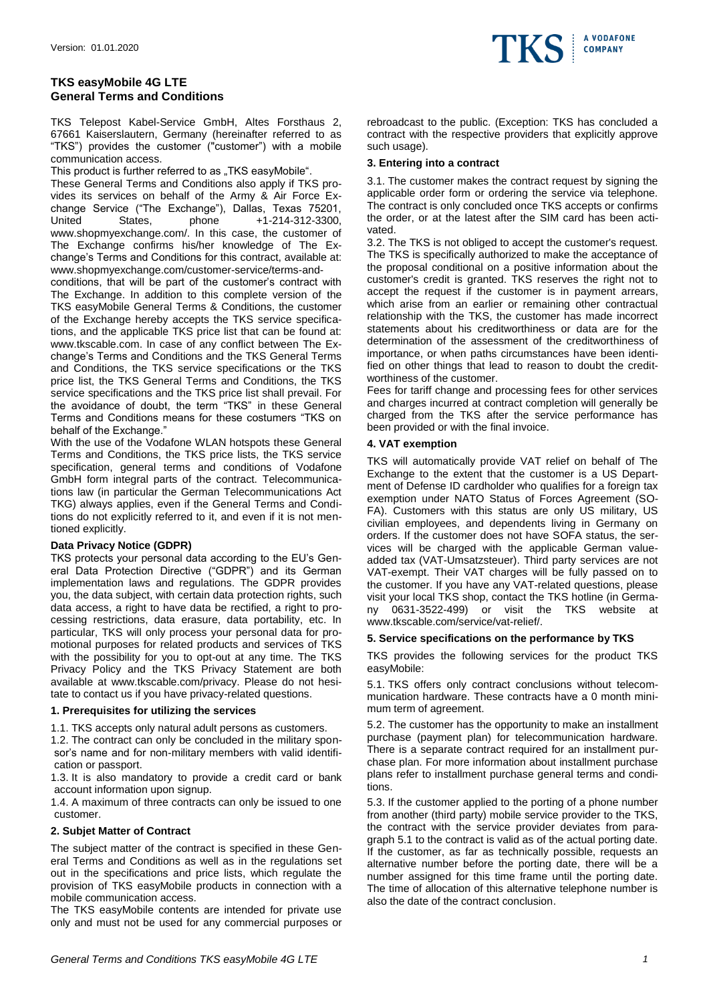# **TKS easyMobile 4G LTE General Terms and Conditions**

TKS Telepost Kabel-Service GmbH, Altes Forsthaus 2, 67661 Kaiserslautern, Germany (hereinafter referred to as "TKS") provides the customer ("customer") with a mobile communication access.

This product is further referred to as "TKS easyMobile".

These General Terms and Conditions also apply if TKS provides its services on behalf of the Army & Air Force Exchange Service ("The Exchange"), Dallas, Texas 75201, United States, phone +1-214-312-3300, www.shopmyexchange.com/. In this case, the customer of The Exchange confirms his/her knowledge of The Exchange's Terms and Conditions for this contract, available at: www.shopmyexchange.com/customer-service/terms-and-

conditions, that will be part of the customer's contract with The Exchange. In addition to this complete version of the TKS easyMobile General Terms & Conditions, the customer of the Exchange hereby accepts the TKS service specifications, and the applicable TKS price list that can be found at: www.tkscable.com. In case of any conflict between The Exchange's Terms and Conditions and the TKS General Terms and Conditions, the TKS service specifications or the TKS price list, the TKS General Terms and Conditions, the TKS service specifications and the TKS price list shall prevail. For the avoidance of doubt, the term "TKS" in these General Terms and Conditions means for these costumers "TKS on behalf of the Exchange."

With the use of the Vodafone WLAN hotspots these General Terms and Conditions, the TKS price lists, the TKS service specification, general terms and conditions of Vodafone GmbH form integral parts of the contract. Telecommunications law (in particular the German Telecommunications Act TKG) always applies, even if the General Terms and Conditions do not explicitly referred to it, and even if it is not mentioned explicitly.

## **Data Privacy Notice (GDPR)**

TKS protects your personal data according to the EU's General Data Protection Directive ("GDPR") and its German implementation laws and regulations. The GDPR provides you, the data subject, with certain data protection rights, such data access, a right to have data be rectified, a right to processing restrictions, data erasure, data portability, etc. In particular, TKS will only process your personal data for promotional purposes for related products and services of TKS with the possibility for you to opt-out at any time. The TKS Privacy Policy and the TKS Privacy Statement are both available at www.tkscable.com/privacy. Please do not hesitate to contact us if you have privacy-related questions.

## **1. Prerequisites for utilizing the services**

1.1. TKS accepts only natural adult persons as customers.

1.2. The contract can only be concluded in the military sponsor's name and for non-military members with valid identification or passport.

1.3. It is also mandatory to provide a credit card or bank account information upon signup.

1.4. A maximum of three contracts can only be issued to one customer.

## **2. Subjet Matter of Contract**

The subject matter of the contract is specified in these General Terms and Conditions as well as in the regulations set out in the specifications and price lists, which regulate the provision of TKS easyMobile products in connection with a mobile communication access.

The TKS easyMobile contents are intended for private use only and must not be used for any commercial purposes or



rebroadcast to the public. (Exception: TKS has concluded a contract with the respective providers that explicitly approve such usage).

#### **3. Entering into a contract**

3.1. The customer makes the contract request by signing the applicable order form or ordering the service via telephone. The contract is only concluded once TKS accepts or confirms the order, or at the latest after the SIM card has been activated.

3.2. The TKS is not obliged to accept the customer's request. The TKS is specifically authorized to make the acceptance of the proposal conditional on a positive information about the customer's credit is granted. TKS reserves the right not to accept the request if the customer is in payment arrears, which arise from an earlier or remaining other contractual relationship with the TKS, the customer has made incorrect statements about his creditworthiness or data are for the determination of the assessment of the creditworthiness of importance, or when paths circumstances have been identified on other things that lead to reason to doubt the creditworthiness of the customer.

Fees for tariff change and processing fees for other services and charges incurred at contract completion will generally be charged from the TKS after the service performance has been provided or with the final invoice.

## **4. VAT exemption**

TKS will automatically provide VAT relief on behalf of The Exchange to the extent that the customer is a US Department of Defense ID cardholder who qualifies for a foreign tax exemption under NATO Status of Forces Agreement (SO-FA). Customers with this status are only US military, US civilian employees, and dependents living in Germany on orders. If the customer does not have SOFA status, the services will be charged with the applicable German valueadded tax (VAT-Umsatzsteuer). Third party services are not VAT-exempt. Their VAT charges will be fully passed on to the customer. If you have any VAT-related questions, please visit your local TKS shop, contact the TKS hotline (in Germany 0631-3522-499) or visit the TKS website at www.tkscable.com/service/vat-relief/.

## **5. Service specifications on the performance by TKS**

TKS provides the following services for the product TKS easyMobile:

5.1. TKS offers only contract conclusions without telecommunication hardware. These contracts have a 0 month minimum term of agreement.

5.2. The customer has the opportunity to make an installment purchase (payment plan) for telecommunication hardware. There is a separate contract required for an installment purchase plan. For more information about installment purchase plans refer to installment purchase general terms and conditions.

5.3. If the customer applied to the porting of a phone number from another (third party) mobile service provider to the TKS, the contract with the service provider deviates from paragraph 5.1 to the contract is valid as of the actual porting date. If the customer, as far as technically possible, requests an alternative number before the porting date, there will be a number assigned for this time frame until the porting date. The time of allocation of this alternative telephone number is also the date of the contract conclusion.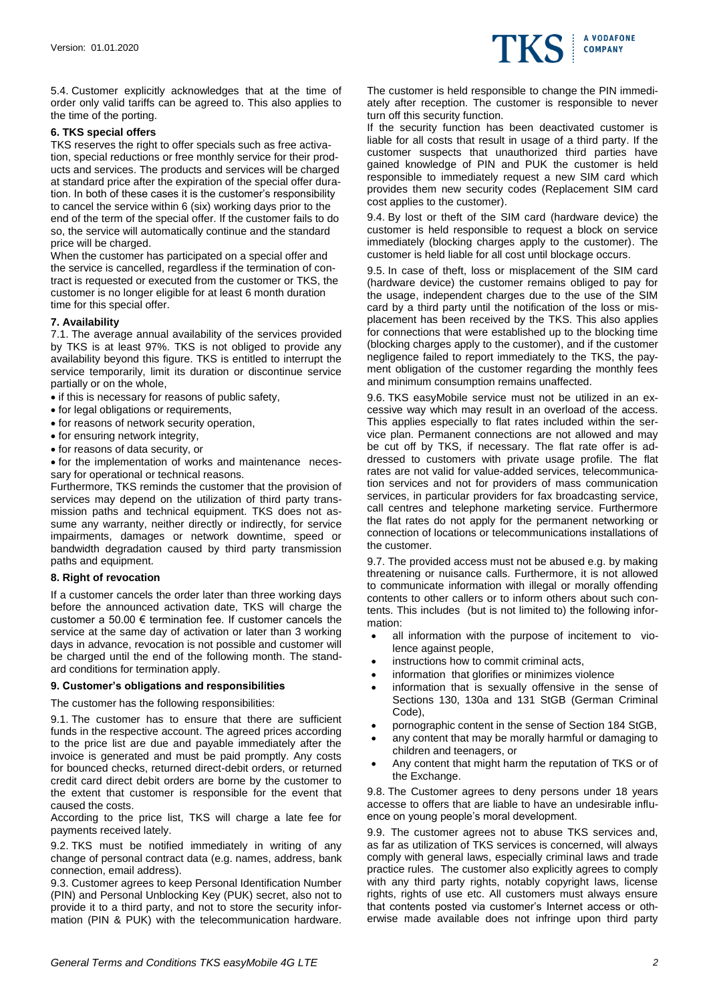

5.4. Customer explicitly acknowledges that at the time of order only valid tariffs can be agreed to. This also applies to the time of the porting.

#### **6. TKS special offers**

TKS reserves the right to offer specials such as free activation, special reductions or free monthly service for their products and services. The products and services will be charged at standard price after the expiration of the special offer duration. In both of these cases it is the customer's responsibility to cancel the service within 6 (six) working days prior to the end of the term of the special offer. If the customer fails to do so, the service will automatically continue and the standard price will be charged.

When the customer has participated on a special offer and the service is cancelled, regardless if the termination of contract is requested or executed from the customer or TKS, the customer is no longer eligible for at least 6 month duration time for this special offer.

## **7. Availability**

7.1. The average annual availability of the services provided by TKS is at least 97%. TKS is not obliged to provide any availability beyond this figure. TKS is entitled to interrupt the service temporarily, limit its duration or discontinue service partially or on the whole,

- if this is necessary for reasons of public safety,
- for legal obligations or requirements,
- for reasons of network security operation,
- for ensuring network integrity,
- for reasons of data security, or
- for the implementation of works and maintenance necessary for operational or technical reasons.

Furthermore, TKS reminds the customer that the provision of services may depend on the utilization of third party transmission paths and technical equipment. TKS does not assume any warranty, neither directly or indirectly, for service impairments, damages or network downtime, speed or bandwidth degradation caused by third party transmission paths and equipment.

#### **8. Right of revocation**

If a customer cancels the order later than three working days before the announced activation date, TKS will charge the customer a 50.00 € termination fee. If customer cancels the service at the same day of activation or later than 3 working days in advance, revocation is not possible and customer will be charged until the end of the following month. The standard conditions for termination apply.

#### **9. Customer's obligations and responsibilities**

The customer has the following responsibilities:

9.1. The customer has to ensure that there are sufficient funds in the respective account. The agreed prices according to the price list are due and payable immediately after the invoice is generated and must be paid promptly. Any costs for bounced checks, returned direct-debit orders, or returned credit card direct debit orders are borne by the customer to the extent that customer is responsible for the event that caused the costs.

According to the price list, TKS will charge a late fee for payments received lately.

9.2. TKS must be notified immediately in writing of any change of personal contract data (e.g. names, address, bank connection, email address).

9.3. Customer agrees to keep Personal Identification Number (PIN) and Personal Unblocking Key (PUK) secret, also not to provide it to a third party, and not to store the security information (PIN & PUK) with the telecommunication hardware. The customer is held responsible to change the PIN immediately after reception. The customer is responsible to never turn off this security function.

If the security function has been deactivated customer is liable for all costs that result in usage of a third party. If the customer suspects that unauthorized third parties have gained knowledge of PIN and PUK the customer is held responsible to immediately request a new SIM card which provides them new security codes (Replacement SIM card cost applies to the customer).

9.4. By lost or theft of the SIM card (hardware device) the customer is held responsible to request a block on service immediately (blocking charges apply to the customer). The customer is held liable for all cost until blockage occurs.

9.5. In case of theft, loss or misplacement of the SIM card (hardware device) the customer remains obliged to pay for the usage, independent charges due to the use of the SIM card by a third party until the notification of the loss or misplacement has been received by the TKS. This also applies for connections that were established up to the blocking time (blocking charges apply to the customer), and if the customer negligence failed to report immediately to the TKS, the payment obligation of the customer regarding the monthly fees and minimum consumption remains unaffected.

9.6. TKS easyMobile service must not be utilized in an excessive way which may result in an overload of the access. This applies especially to flat rates included within the service plan. Permanent connections are not allowed and may be cut off by TKS, if necessary. The flat rate offer is addressed to customers with private usage profile. The flat rates are not valid for value-added services, telecommunication services and not for providers of mass communication services, in particular providers for fax broadcasting service, call centres and telephone marketing service. Furthermore the flat rates do not apply for the permanent networking or connection of locations or telecommunications installations of the customer.

9.7. The provided access must not be abused e.g. by making threatening or nuisance calls. Furthermore, it is not allowed to communicate information with illegal or morally offending contents to other callers or to inform others about such contents. This includes (but is not limited to) the following information:

- all information with the purpose of incitement to violence against people,
- instructions how to commit criminal acts,
- information that glorifies or minimizes violence
- information that is sexually offensive in the sense of Sections 130, 130a and 131 StGB (German Criminal Code),
- pornographic content in the sense of Section 184 StGB,
- any content that may be morally harmful or damaging to children and teenagers, or
- Any content that might harm the reputation of TKS or of the Exchange.

9.8. The Customer agrees to deny persons under 18 years accesse to offers that are liable to have an undesirable influence on young people's moral development.

9.9. The customer agrees not to abuse TKS services and, as far as utilization of TKS services is concerned, will always comply with general laws, especially criminal laws and trade practice rules. The customer also explicitly agrees to comply with any third party rights, notably copyright laws, license rights, rights of use etc. All customers must always ensure that contents posted via customer's Internet access or otherwise made available does not infringe upon third party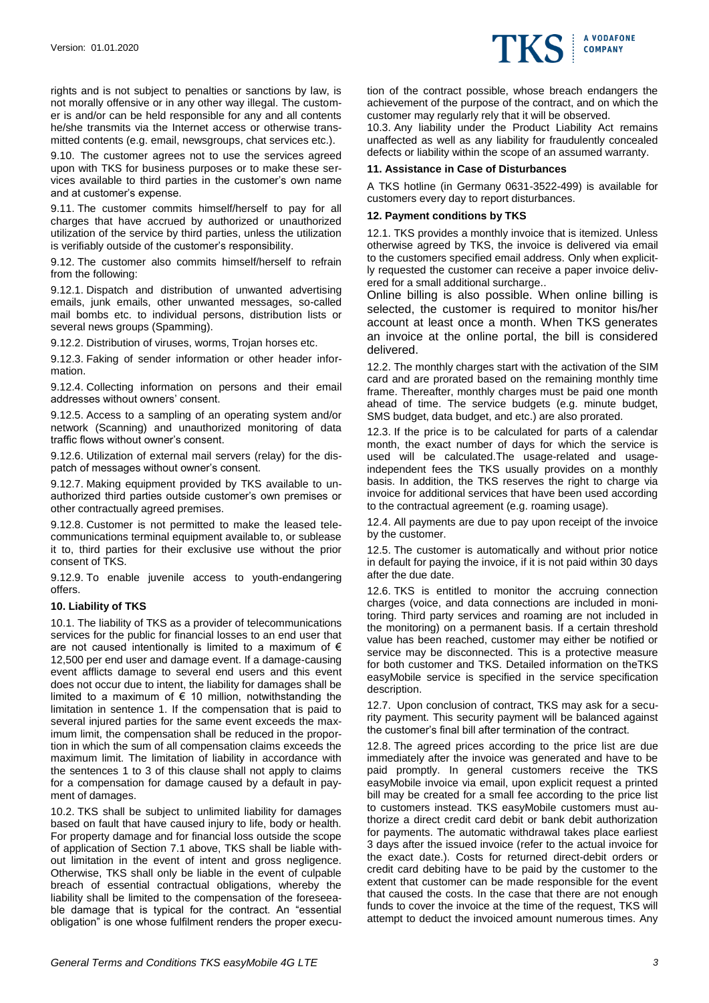rights and is not subject to penalties or sanctions by law, is not morally offensive or in any other way illegal. The customer is and/or can be held responsible for any and all contents he/she transmits via the Internet access or otherwise transmitted contents (e.g. email, newsgroups, chat services etc.).

9.10. The customer agrees not to use the services agreed upon with TKS for business purposes or to make these services available to third parties in the customer's own name and at customer's expense.

9.11. The customer commits himself/herself to pay for all charges that have accrued by authorized or unauthorized utilization of the service by third parties, unless the utilization is verifiably outside of the customer's responsibility.

9.12. The customer also commits himself/herself to refrain from the following:

9.12.1. Dispatch and distribution of unwanted advertising emails, junk emails, other unwanted messages, so-called mail bombs etc. to individual persons, distribution lists or several news groups (Spamming).

9.12.2. Distribution of viruses, worms, Trojan horses etc.

9.12.3. Faking of sender information or other header information.

9.12.4. Collecting information on persons and their email addresses without owners' consent.

9.12.5. Access to a sampling of an operating system and/or network (Scanning) and unauthorized monitoring of data traffic flows without owner's consent.

9.12.6. Utilization of external mail servers (relay) for the dispatch of messages without owner's consent.

9.12.7. Making equipment provided by TKS available to unauthorized third parties outside customer's own premises or other contractually agreed premises.

9.12.8. Customer is not permitted to make the leased telecommunications terminal equipment available to, or sublease it to, third parties for their exclusive use without the prior consent of TKS.

9.12.9. To enable juvenile access to youth-endangering offers.

## **10. Liability of TKS**

10.1. The liability of TKS as a provider of telecommunications services for the public for financial losses to an end user that are not caused intentionally is limited to a maximum of  $\epsilon$ 12,500 per end user and damage event. If a damage-causing event afflicts damage to several end users and this event does not occur due to intent, the liability for damages shall be limited to a maximum of  $\epsilon$  10 million, notwithstanding the limitation in sentence 1. If the compensation that is paid to several injured parties for the same event exceeds the maximum limit, the compensation shall be reduced in the proportion in which the sum of all compensation claims exceeds the maximum limit. The limitation of liability in accordance with the sentences 1 to 3 of this clause shall not apply to claims for a compensation for damage caused by a default in payment of damages.

10.2. TKS shall be subject to unlimited liability for damages based on fault that have caused injury to life, body or health. For property damage and for financial loss outside the scope of application of Section 7.1 above, TKS shall be liable without limitation in the event of intent and gross negligence. Otherwise, TKS shall only be liable in the event of culpable breach of essential contractual obligations, whereby the liability shall be limited to the compensation of the foreseeable damage that is typical for the contract. An "essential obligation" is one whose fulfilment renders the proper execution of the contract possible, whose breach endangers the achievement of the purpose of the contract, and on which the customer may regularly rely that it will be observed.

**A VODAFONE** 

IKS COMPANY

10.3. Any liability under the Product Liability Act remains unaffected as well as any liability for fraudulently concealed defects or liability within the scope of an assumed warranty.

#### **11. Assistance in Case of Disturbances**

A TKS hotline (in Germany 0631-3522-499) is available for customers every day to report disturbances.

#### **12. Payment conditions by TKS**

12.1. TKS provides a monthly invoice that is itemized. Unless otherwise agreed by TKS, the invoice is delivered via email to the customers specified email address. Only when explicitly requested the customer can receive a paper invoice delivered for a small additional surcharge..

Online billing is also possible. When online billing is selected, the customer is required to monitor his/her account at least once a month. When TKS generates an invoice at the online portal, the bill is considered delivered.

12.2. The monthly charges start with the activation of the SIM card and are prorated based on the remaining monthly time frame. Thereafter, monthly charges must be paid one month ahead of time. The service budgets (e.g. minute budget, SMS budget, data budget, and etc.) are also prorated.

12.3. If the price is to be calculated for parts of a calendar month, the exact number of days for which the service is used will be calculated.The usage-related and usageindependent fees the TKS usually provides on a monthly basis. In addition, the TKS reserves the right to charge via invoice for additional services that have been used according to the contractual agreement (e.g. roaming usage).

12.4. All payments are due to pay upon receipt of the invoice by the customer.

12.5. The customer is automatically and without prior notice in default for paying the invoice, if it is not paid within 30 days after the due date.

12.6. TKS is entitled to monitor the accruing connection charges (voice, and data connections are included in monitoring. Third party services and roaming are not included in the monitoring) on a permanent basis. If a certain threshold value has been reached, customer may either be notified or service may be disconnected. This is a protective measure for both customer and TKS. Detailed information on theTKS easyMobile service is specified in the service specification description.

12.7. Upon conclusion of contract, TKS may ask for a security payment. This security payment will be balanced against the customer's final bill after termination of the contract.

12.8. The agreed prices according to the price list are due immediately after the invoice was generated and have to be paid promptly. In general customers receive the TKS easyMobile invoice via email, upon explicit request a printed bill may be created for a small fee according to the price list to customers instead. TKS easyMobile customers must authorize a direct credit card debit or bank debit authorization for payments. The automatic withdrawal takes place earliest 3 days after the issued invoice (refer to the actual invoice for the exact date.). Costs for returned direct-debit orders or credit card debiting have to be paid by the customer to the extent that customer can be made responsible for the event that caused the costs. In the case that there are not enough funds to cover the invoice at the time of the request, TKS will attempt to deduct the invoiced amount numerous times. Any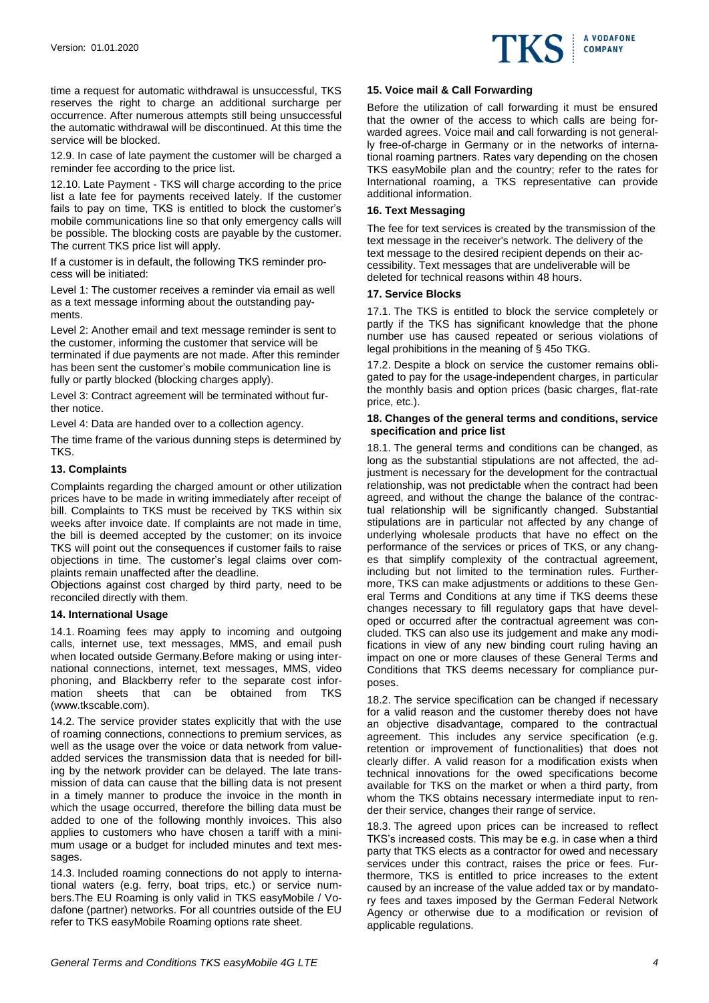

time a request for automatic withdrawal is unsuccessful, TKS reserves the right to charge an additional surcharge per occurrence. After numerous attempts still being unsuccessful the automatic withdrawal will be discontinued. At this time the service will be blocked.

12.9. In case of late payment the customer will be charged a reminder fee according to the price list.

12.10. Late Payment - TKS will charge according to the price list a late fee for payments received lately. If the customer fails to pay on time, TKS is entitled to block the customer's mobile communications line so that only emergency calls will be possible. The blocking costs are payable by the customer. The current TKS price list will apply.

If a customer is in default, the following TKS reminder process will be initiated:

Level 1: The customer receives a reminder via email as well as a text message informing about the outstanding payments.

Level 2: Another email and text message reminder is sent to the customer, informing the customer that service will be terminated if due payments are not made. After this reminder has been sent the customer's mobile communication line is fully or partly blocked (blocking charges apply).

Level 3: Contract agreement will be terminated without further notice.

Level 4: Data are handed over to a collection agency.

The time frame of the various dunning steps is determined by TKS.

## **13. Complaints**

Complaints regarding the charged amount or other utilization prices have to be made in writing immediately after receipt of bill. Complaints to TKS must be received by TKS within six weeks after invoice date. If complaints are not made in time, the bill is deemed accepted by the customer; on its invoice TKS will point out the consequences if customer fails to raise objections in time. The customer's legal claims over complaints remain unaffected after the deadline.

Objections against cost charged by third party, need to be reconciled directly with them.

## **14. International Usage**

14.1. Roaming fees may apply to incoming and outgoing calls, internet use, text messages, MMS, and email push when located outside Germany.Before making or using international connections, internet, text messages, MMS, video phoning, and Blackberry refer to the separate cost information sheets that can be obtained from TKS (www.tkscable.com).

14.2. The service provider states explicitly that with the use of roaming connections, connections to premium services, as well as the usage over the voice or data network from valueadded services the transmission data that is needed for billing by the network provider can be delayed. The late transmission of data can cause that the billing data is not present in a timely manner to produce the invoice in the month in which the usage occurred, therefore the billing data must be added to one of the following monthly invoices. This also applies to customers who have chosen a tariff with a minimum usage or a budget for included minutes and text messages.

14.3. Included roaming connections do not apply to international waters (e.g. ferry, boat trips, etc.) or service numbers.The EU Roaming is only valid in TKS easyMobile / Vodafone (partner) networks. For all countries outside of the EU refer to TKS easyMobile Roaming options rate sheet.

## **15. Voice mail & Call Forwarding**

Before the utilization of call forwarding it must be ensured that the owner of the access to which calls are being forwarded agrees. Voice mail and call forwarding is not generally free-of-charge in Germany or in the networks of international roaming partners. Rates vary depending on the chosen TKS easyMobile plan and the country; refer to the rates for International roaming, a TKS representative can provide additional information.

## **16. Text Messaging**

The fee for text services is created by the transmission of the text message in the receiver's network. The delivery of the text message to the desired recipient depends on their accessibility. Text messages that are undeliverable will be deleted for technical reasons within 48 hours.

## **17. Service Blocks**

17.1. The TKS is entitled to block the service completely or partly if the TKS has significant knowledge that the phone number use has caused repeated or serious violations of legal prohibitions in the meaning of § 45o TKG.

17.2. Despite a block on service the customer remains obligated to pay for the usage-independent charges, in particular the monthly basis and option prices (basic charges, flat-rate price, etc.).

#### **18. Changes of the general terms and conditions, service specification and price list**

18.1. The general terms and conditions can be changed, as long as the substantial stipulations are not affected, the adjustment is necessary for the development for the contractual relationship, was not predictable when the contract had been agreed, and without the change the balance of the contractual relationship will be significantly changed. Substantial stipulations are in particular not affected by any change of underlying wholesale products that have no effect on the performance of the services or prices of TKS, or any changes that simplify complexity of the contractual agreement, including but not limited to the termination rules. Furthermore, TKS can make adjustments or additions to these General Terms and Conditions at any time if TKS deems these changes necessary to fill regulatory gaps that have developed or occurred after the contractual agreement was concluded. TKS can also use its judgement and make any modifications in view of any new binding court ruling having an impact on one or more clauses of these General Terms and Conditions that TKS deems necessary for compliance purposes.

18.2. The service specification can be changed if necessary for a valid reason and the customer thereby does not have an objective disadvantage, compared to the contractual agreement. This includes any service specification (e.g. retention or improvement of functionalities) that does not clearly differ. A valid reason for a modification exists when technical innovations for the owed specifications become available for TKS on the market or when a third party, from whom the TKS obtains necessary intermediate input to render their service, changes their range of service.

18.3. The agreed upon prices can be increased to reflect TKS's increased costs. This may be e.g. in case when a third party that TKS elects as a contractor for owed and necessary services under this contract, raises the price or fees. Furthermore, TKS is entitled to price increases to the extent caused by an increase of the value added tax or by mandatory fees and taxes imposed by the German Federal Network Agency or otherwise due to a modification or revision of applicable regulations.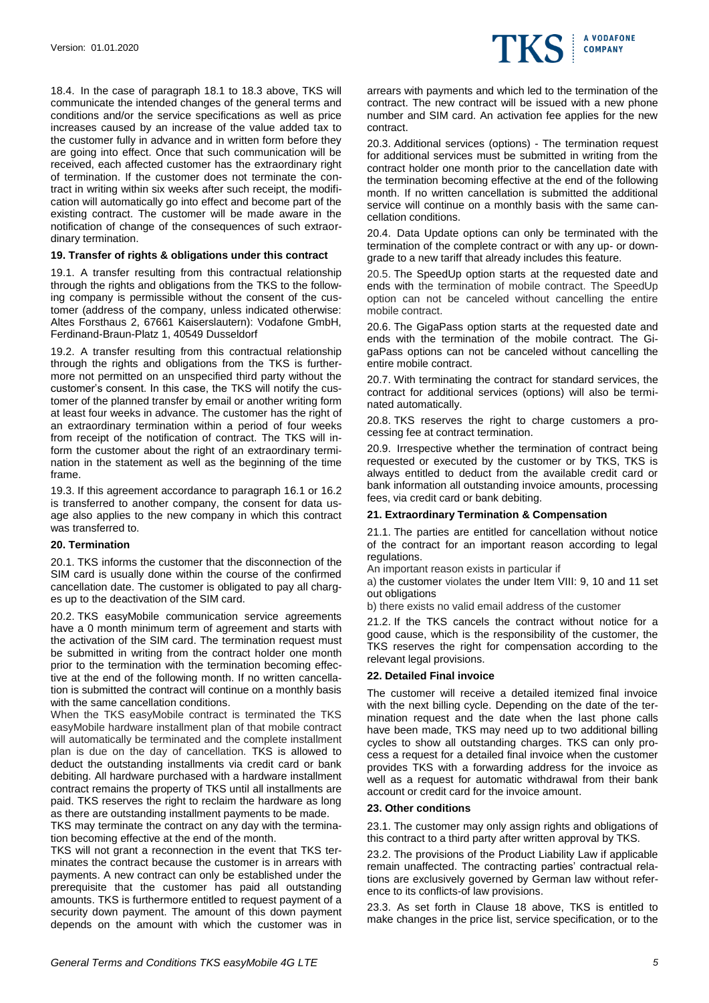

18.4. In the case of paragraph 18.1 to 18.3 above, TKS will communicate the intended changes of the general terms and conditions and/or the service specifications as well as price increases caused by an increase of the value added tax to the customer fully in advance and in written form before they are going into effect. Once that such communication will be received, each affected customer has the extraordinary right of termination. If the customer does not terminate the contract in writing within six weeks after such receipt, the modification will automatically go into effect and become part of the existing contract. The customer will be made aware in the notification of change of the consequences of such extraordinary termination.

#### **19. Transfer of rights & obligations under this contract**

19.1. A transfer resulting from this contractual relationship through the rights and obligations from the TKS to the following company is permissible without the consent of the customer (address of the company, unless indicated otherwise: Altes Forsthaus 2, 67661 Kaiserslautern): Vodafone GmbH, Ferdinand-Braun-Platz 1, 40549 Dusseldorf

19.2. A transfer resulting from this contractual relationship through the rights and obligations from the TKS is furthermore not permitted on an unspecified third party without the customer's consent. In this case, the TKS will notify the customer of the planned transfer by email or another writing form at least four weeks in advance. The customer has the right of an extraordinary termination within a period of four weeks from receipt of the notification of contract. The TKS will inform the customer about the right of an extraordinary termination in the statement as well as the beginning of the time frame.

19.3. If this agreement accordance to paragraph 16.1 or 16.2 is transferred to another company, the consent for data usage also applies to the new company in which this contract was transferred to.

## **20. Termination**

20.1. TKS informs the customer that the disconnection of the SIM card is usually done within the course of the confirmed cancellation date. The customer is obligated to pay all charges up to the deactivation of the SIM card.

20.2. TKS easyMobile communication service agreements have a 0 month minimum term of agreement and starts with the activation of the SIM card. The termination request must be submitted in writing from the contract holder one month prior to the termination with the termination becoming effective at the end of the following month. If no written cancellation is submitted the contract will continue on a monthly basis with the same cancellation conditions.

When the TKS easyMobile contract is terminated the TKS easyMobile hardware installment plan of that mobile contract will automatically be terminated and the complete installment plan is due on the day of cancellation. TKS is allowed to deduct the outstanding installments via credit card or bank debiting. All hardware purchased with a hardware installment contract remains the property of TKS until all installments are paid. TKS reserves the right to reclaim the hardware as long as there are outstanding installment payments to be made.

TKS may terminate the contract on any day with the termination becoming effective at the end of the month.

TKS will not grant a reconnection in the event that TKS terminates the contract because the customer is in arrears with payments. A new contract can only be established under the prerequisite that the customer has paid all outstanding amounts. TKS is furthermore entitled to request payment of a security down payment. The amount of this down payment depends on the amount with which the customer was in

arrears with payments and which led to the termination of the contract. The new contract will be issued with a new phone number and SIM card. An activation fee applies for the new contract.

20.3. Additional services (options) - The termination request for additional services must be submitted in writing from the contract holder one month prior to the cancellation date with the termination becoming effective at the end of the following month. If no written cancellation is submitted the additional service will continue on a monthly basis with the same cancellation conditions.

20.4. Data Update options can only be terminated with the termination of the complete contract or with any up- or downgrade to a new tariff that already includes this feature.

20.5. The SpeedUp option starts at the requested date and ends with the termination of mobile contract. The SpeedUp option can not be canceled without cancelling the entire mobile contract.

20.6. The GigaPass option starts at the requested date and ends with the termination of the mobile contract. The GigaPass options can not be canceled without cancelling the entire mobile contract.

20.7. With terminating the contract for standard services, the contract for additional services (options) will also be terminated automatically.

20.8. TKS reserves the right to charge customers a processing fee at contract termination.

20.9. Irrespective whether the termination of contract being requested or executed by the customer or by TKS, TKS is always entitled to deduct from the available credit card or bank information all outstanding invoice amounts, processing fees, via credit card or bank debiting.

## **21. Extraordinary Termination & Compensation**

21.1. The parties are entitled for cancellation without notice of the contract for an important reason according to legal regulations.

An important reason exists in particular if

a) the customer violates the under Item VIII: 9, 10 and 11 set out obligations

b) there exists no valid email address of the customer

21.2. If the TKS cancels the contract without notice for a good cause, which is the responsibility of the customer, the TKS reserves the right for compensation according to the relevant legal provisions.

## **22. Detailed Final invoice**

The customer will receive a detailed itemized final invoice with the next billing cycle. Depending on the date of the termination request and the date when the last phone calls have been made, TKS may need up to two additional billing cycles to show all outstanding charges. TKS can only process a request for a detailed final invoice when the customer provides TKS with a forwarding address for the invoice as well as a request for automatic withdrawal from their bank account or credit card for the invoice amount.

#### **23. Other conditions**

23.1. The customer may only assign rights and obligations of this contract to a third party after written approval by TKS.

23.2. The provisions of the Product Liability Law if applicable remain unaffected. The contracting parties' contractual relations are exclusively governed by German law without reference to its conflicts-of law provisions.

23.3. As set forth in Clause 18 above, TKS is entitled to make changes in the price list, service specification, or to the